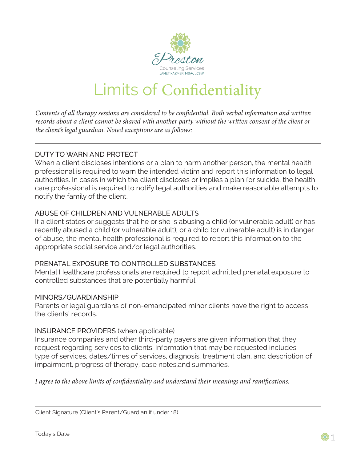

# Limits of Confidentiality

*Contents of all therapy sessions are considered to be confidential. Both verbal information and written records about a client cannot be shared with another party without the written consent of the client or the client's legal guardian. Noted exceptions are as follows:*

## DUTY TO WARN AND PROTECT

When a client discloses intentions or a plan to harm another person, the mental health professional is required to warn the intended victim and report this information to legal authorities. In cases in which the client discloses or implies a plan for suicide, the health care professional is required to notify legal authorities and make reasonable attempts to notify the family of the client.

## ABUSE OF CHILDREN AND VULNERABLE ADULTS

If a client states or suggests that he or she is abusing a child (or vulnerable adult) or has recently abused a child (or vulnerable adult), or a child (or vulnerable adult) is in danger of abuse, the mental health professional is required to report this information to the appropriate social service and/or legal authorities.

## PRENATAL EXPOSURE TO CONTROLLED SUBSTANCES

Mental Healthcare professionals are required to report admitted prenatal exposure to controlled substances that are potentially harmful.

#### MINORS/GUARDIANSHIP

Parents or legal guardians of non-emancipated minor clients have the right to access the clients' records.

#### INSURANCE PROVIDERS (when applicable)

Insurance companies and other third-party payers are given information that they request regarding services to clients. Information that may be requested includes type of services, dates/times of services, diagnosis, treatment plan, and description of impairment, progress of therapy, case notes,and summaries.

*I agree to the above limits of confidentiality and understand their meanings and ramifications.*

Client Signature (Client's Parent/Guardian if under 18)